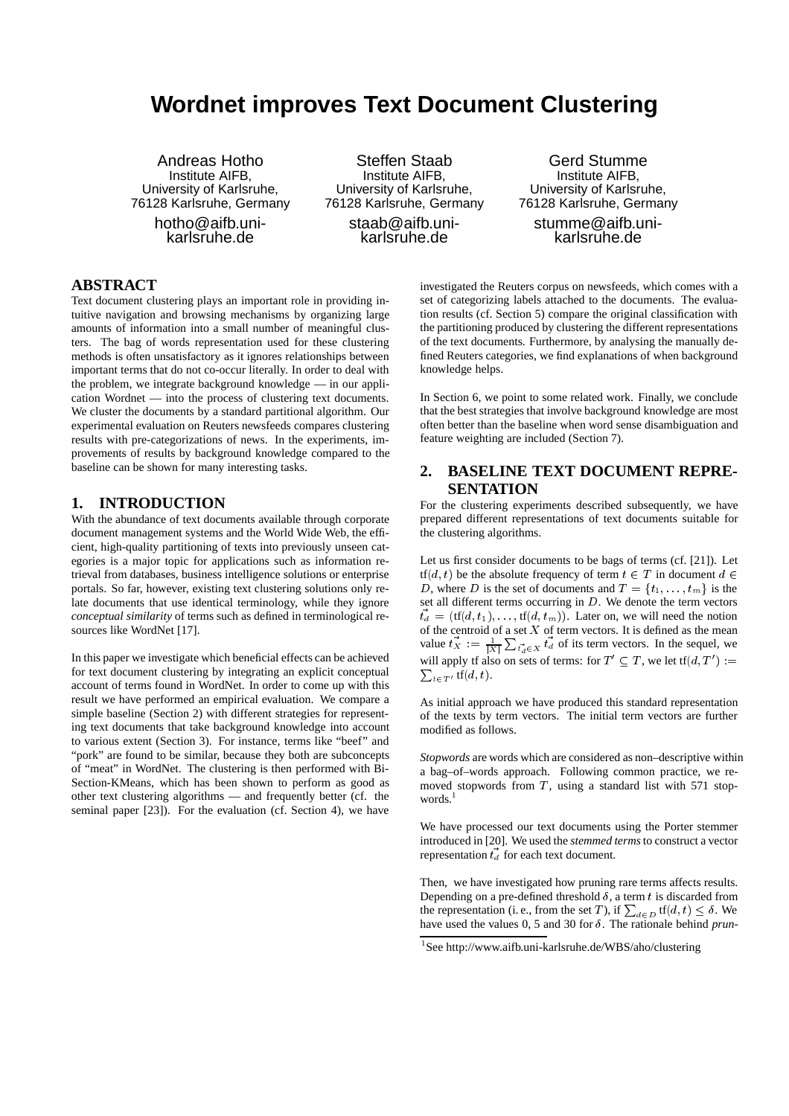# **Wordnet improves Text Document Clustering**

Andreas Hotho Institute AIFB, University of Karlsruhe, 76128 Karlsruhe, Germany hotho@aifb.uni-

karlsruhe.de

Steffen Staab Institute AIFB, University of Karlsruhe, 76128 Karlsruhe, Germany

staab@aifb.unikarlsruhe.de

Gerd Stumme Institute AIFB, University of Karlsruhe, 76128 Karlsruhe, Germany stumme@aifb.uni-

karlsruhe.de

# **ABSTRACT**

Text document clustering plays an important role in providing intuitive navigation and browsing mechanisms by organizing large amounts of information into a small number of meaningful clusters. The bag of words representation used for these clustering methods is often unsatisfactory as it ignores relationships between important terms that do not co-occur literally. In order to deal with the problem, we integrate background knowledge — in our application Wordnet — into the process of clustering text documents. We cluster the documents by a standard partitional algorithm. Our experimental evaluation on Reuters newsfeeds compares clustering results with pre-categorizations of news. In the experiments, improvements of results by background knowledge compared to the baseline can be shown for many interesting tasks.

# **1. INTRODUCTION**

With the abundance of text documents available through corporate document management systems and the World Wide Web, the efficient, high-quality partitioning of texts into previously unseen categories is a major topic for applications such as information retrieval from databases, business intelligence solutions or enterprise portals. So far, however, existing text clustering solutions only relate documents that use identical terminology, while they ignore *conceptual similarity* of terms such as defined in terminological resources like WordNet [17].

In this paper we investigate which beneficial effects can be achieved for text document clustering by integrating an explicit conceptual account of terms found in WordNet. In order to come up with this result we have performed an empirical evaluation. We compare a simple baseline (Section 2) with different strategies for representing text documents that take background knowledge into account to various extent (Section 3). For instance, terms like "beef" and "pork" are found to be similar, because they both are subconcepts of "meat" in WordNet. The clustering is then performed with Bi-Section-KMeans, which has been shown to perform as good as other text clustering algorithms — and frequently better (cf. the seminal paper [23]). For the evaluation (cf. Section 4), we have

investigated the Reuters corpus on newsfeeds, which comes with a set of categorizing labels attached to the documents. The evaluation results (cf. Section 5) compare the original classification with the partitioning produced by clustering the different representations of the text documents. Furthermore, by analysing the manually defined Reuters categories, we find explanations of when background knowledge helps.

In Section 6, we point to some related work. Finally, we conclude that the best strategies that involve background knowledge are most often better than the baseline when word sense disambiguation and feature weighting are included (Section 7).

# **2. BASELINE TEXT DOCUMENT REPRE-SENTATION**

For the clustering experiments described subsequently, we have prepared different representations of text documents suitable for the clustering algorithms.

Let us first consider documents to be bags of terms (cf. [21]). Let  $tf(d, t)$  be the absolute frequency of term  $t \in T$  in document  $d \in$ D, where D is the set of documents and  $T = \{t_1, \ldots, t_m\}$  is the set all different terms occurring in  $D$ . We denote the term vectors  $\vec{t}_d = (\text{tf}(d, t_1), \dots, \text{tf}(d, t_m))$ . Later on, we will need the notion of the centroid of a set  $X$  of term vectors. It is defined as the mean value  $t_X := \frac{1}{|X|} \sum_{t_d \in X} t_d$  of its term vectors. In the sequel, we will apply tf also on sets of terms: for  $T' \subseteq T$ , we let tf $(d, T') :=$  $\sum_{t \in T'}$  tf $(d, t)$ .

As initial approach we have produced this standard representation of the texts by term vectors. The initial term vectors are further modified as follows.

*Stopwords* are words which are considered as non–descriptive within a bag–of–words approach. Following common practice, we removed stopwords from  $T$ , using a standard list with 571 stopwords. $<sup>1</sup>$ </sup>

We have processed our text documents using the Porter stemmer introduced in [20]. We used the *stemmed terms*to construct a vector representation  $\vec{t}_d$  for each text document.

Then, we have investigated how pruning rare terms affects results. Depending on a pre-defined threshold  $\delta$ , a term t is discarded from the representation (i.e., from the set T), if  $\sum_{d \in D} tf(d, t) \leq \delta$ . We have used the values 0, 5 and 30 for  $\delta$ . The rationale behind *prun*-

<sup>1</sup> See http://www.aifb.uni-karlsruhe.de/WBS/aho/clustering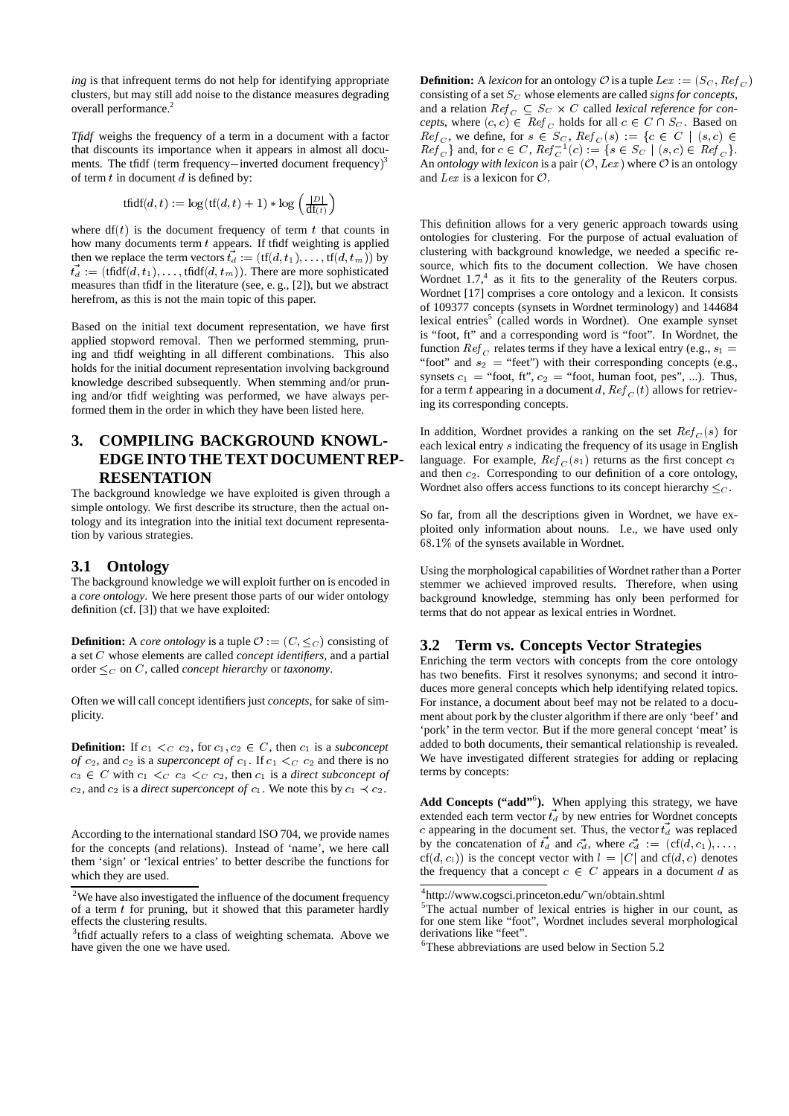*ing* is that infrequent terms do not help for identifying appropriate clusters, but may still add noise to the distance measures degrading overall performance.<sup>2</sup>

*Tfidf* weighs the frequency of a term in a document with a factor that discounts its importance when it appears in almost all documents. The tfidf (term frequency-inverted document frequency) $3$ of term  $t$  in document  $d$  is defined by:

$$
\operatorname{tfidf}(d, t) := \log(\operatorname{tf}(d, t) + 1) * \log\left(\frac{|D|}{\operatorname{df}(t)}\right)
$$

where  $df(t)$  is the document frequency of term t that counts in how many documents term  $t$  appears. If tfidf weighting is applied then we replace the term vectors  $\vec{t}_d := (\text{tf}(d, t_1), \ldots, \text{tf}(d, t_m))$  by  $\vec{t}_d$  : = (tfidf(d, t<sub>1</sub>), ..., tfidf(d, t<sub>m</sub>)). There are more sophisticated measures than tfidf in the literature (see, e. g., [2]), but we abstract herefrom, as this is not the main topic of this paper.

Based on the initial text document representation, we have first applied stopword removal. Then we performed stemming, pruning and tfidf weighting in all different combinations. This also holds for the initial document representation involving background knowledge described subsequently. When stemming and/or pruning and/or tfidf weighting was performed, we have always performed them in the order in which they have been listed here.

# **3. COMPILING BACKGROUND KNOWL-EDGE INTO THE TEXT DOCUMENT REP-RESENTATION**

The background knowledge we have exploited is given through a simple ontology. We first describe its structure, then the actual ontology and its integration into the initial text document representation by various strategies.

# **3.1 Ontology**

The background knowledge we will exploit further on is encoded in a *core ontology*. We here present those parts of our wider ontology definition (cf. [3]) that we have exploited:

**Definition:** A *core ontology* is a tuple  $\mathcal{O} := (C, \leq_C)$  consisting of a set <sup>C</sup> whose elements are called *concept identifiers*, and a partial order  $\leq_C$  on C, called *concept hierarchy* or *taxonomy*.

Often we will call concept identifiers just *concepts*, for sake of simplicity.

**Definition:** If  $c_1 \leq c_2$ , for  $c_1, c_2 \in C$ , then  $c_1$  is a *subconcept of*  $c_2$ , and  $c_2$  is a *superconcept of*  $c_1$ . If  $c_1 < c_2$  and there is no  $c_3 \in C$  with  $c_1 \lt_{C} c_3 \lt_{C} c_2$ , then  $c_1$  is a *direct subconcept of*  $c_2$ , and  $c_2$  is a *direct superconcept of*  $c_1$ . We note this by  $c_1 \prec c_2$ .

According to the international standard ISO 704, we provide names for the concepts (and relations). Instead of 'name', we here call them 'sign' or 'lexical entries' to better describe the functions for which they are used.

**Definition:** A *lexicon* for an ontology  $\mathcal O$  is a tuple  $Lex := (S_C, Ref_{C})$ consisting of a set  $S_C$  whose elements are called *signs for concepts*, and a relation  $Re f_C \subseteq S_C \times C$  called *lexical reference for concepts*, where  $(c, c) \in \text{Ref}_C$  holds for all  $c \in C \cap S_C$ . Based on  $Ref_C$ , we define, for  $s \in S_C$ ,  $Ref_C(s) := \{c \in C \mid (s, c) \in$  $Ref_{C}$ } and, for  $c \in C$ ,  $Ref_{C}^{-1}(c) := \{ s \in S_{C} \mid (s, c) \in Ref_{C} \}.$ An *ontology with lexicon* is a pair  $(\mathcal{O}, Lex)$  where  $\mathcal O$  is an ontology and Lex is a lexicon for  $\mathcal{O}$ .

This definition allows for a very generic approach towards using ontologies for clustering. For the purpose of actual evaluation of clustering with background knowledge, we needed a specific resource, which fits to the document collection. We have chosen Wordnet  $1.7<sup>4</sup>$  as it fits to the generality of the Reuters corpus. Wordnet [17] comprises a core ontology and a lexicon. It consists of 109377 concepts (synsets in Wordnet terminology) and 144684 lexical entries<sup>5</sup> (called words in Wordnet). One example synset is "foot, ft" and a corresponding word is "foot". In Wordnet, the function  $Ref_{C}$  relates terms if they have a lexical entry (e.g.,  $s_1 =$ "foot" and  $s_2$  = "feet") with their corresponding concepts (e.g., synsets  $c_1$  = "foot, ft",  $c_2$  = "foot, human foot, pes", ...). Thus, for a term t appearing in a document d,  $Ref_C(t)$  allows for retrieving its corresponding concepts.

In addition, Wordnet provides a ranking on the set  $Ref_C(s)$  for each lexical entry <sup>s</sup> indicating the frequency of its usage in English language. For example,  $Ref_C(s_1)$  returns as the first concept  $c_1$ and then  $c_2$ . Corresponding to our definition of a core ontology, Wordnet also offers access functions to its concept hierarchy  $\leq_C$ .

So far, from all the descriptions given in Wordnet, we have exploited only information about nouns. I.e., we have used only 68:1% of the synsets available in Wordnet.

Using the morphological capabilities of Wordnet rather than a Porter stemmer we achieved improved results. Therefore, when using background knowledge, stemming has only been performed for terms that do not appear as lexical entries in Wordnet.

### **3.2 Term vs. Concepts Vector Strategies**

Enriching the term vectors with concepts from the core ontology has two benefits. First it resolves synonyms; and second it introduces more general concepts which help identifying related topics. For instance, a document about beef may not be related to a document about pork by the cluster algorithm if there are only 'beef' and 'pork' in the term vector. But if the more general concept 'meat' is added to both documents, their semantical relationship is revealed. We have investigated different strategies for adding or replacing terms by concepts:

Add Concepts ("add"<sup>6</sup>). When applying this strategy, we have extended each term vector  $\vec{t_d}$  by new entries for Wordnet concepts c appearing in the document set. Thus, the vector  $t_d$  was replaced by the concatenation of  $\vec{t}_d$  and  $\vec{c}_d$ , where  $\vec{c}_d := (\text{cf}(d, c_1), \ldots,$  $cf(d, c_l)$  is the concept vector with  $l = |C|$  and  $cf(d, c)$  denotes the frequency that a concept  $c \in C$  appears in a document d as

 $2$ We have also investigated the influence of the document frequency of a term  $t$  for pruning, but it showed that this parameter hardly effects the clustering results.

<sup>&</sup>lt;sup>3</sup>tfidf actually refers to a class of weighting schemata. Above we have given the one we have used.

<sup>4</sup> http://www.cogsci.princeton.edu/˜wn/obtain.shtml

<sup>&</sup>lt;sup>5</sup>The actual number of lexical entries is higher in our count, as for one stem like "foot", Wordnet includes several morphological derivations like "feet".

<sup>6</sup> These abbreviations are used below in Section 5.2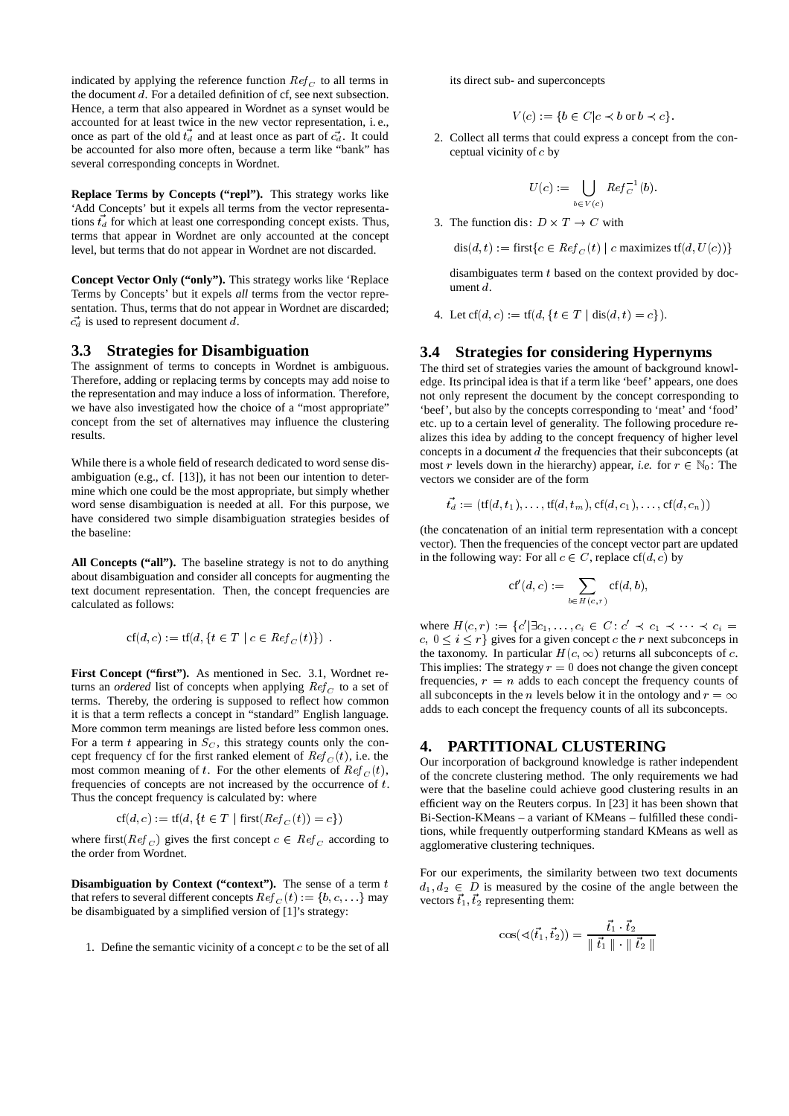indicated by applying the reference function  $Ref_C$  to all terms in the document <sup>d</sup>. For a detailed definition of cf, see next subsection. Hence, a term that also appeared in Wordnet as a synset would be accounted for at least twice in the new vector representation, i. e., once as part of the old  $t_d$  and at least once as part of  $\vec{c}_d$ . It could be accounted for also more often, because a term like "bank" has several corresponding concepts in Wordnet.

**Replace Terms by Concepts ("repl").** This strategy works like 'Add Concepts' but it expels all terms from the vector representations  $\vec{t}_d$  for which at least one corresponding concept exists. Thus, terms that appear in Wordnet are only accounted at the concept level, but terms that do not appear in Wordnet are not discarded.

**Concept Vector Only ("only").** This strategy works like 'Replace Terms by Concepts' but it expels *all* terms from the vector representation. Thus, terms that do not appear in Wordnet are discarded;  $c_d$  is used to represent document d.

#### **3.3 Strategies for Disambiguation**

The assignment of terms to concepts in Wordnet is ambiguous. Therefore, adding or replacing terms by concepts may add noise to the representation and may induce a loss of information. Therefore, we have also investigated how the choice of a "most appropriate" concept from the set of alternatives may influence the clustering results.

While there is a whole field of research dedicated to word sense disambiguation (e.g., cf. [13]), it has not been our intention to determine which one could be the most appropriate, but simply whether word sense disambiguation is needed at all. For this purpose, we have considered two simple disambiguation strategies besides of the baseline:

**All Concepts ("all").** The baseline strategy is not to do anything about disambiguation and consider all concepts for augmenting the text document representation. Then, the concept frequencies are calculated as follows:

$$
cf(d, c) := tf(d, \{t \in T \mid c \in Ref_C(t)\}) .
$$

**First Concept ("first").** As mentioned in Sec. 3.1, Wordnet returns an *ordered* list of concepts when applying  $Ref_C$  to a set of terms. Thereby, the ordering is supposed to reflect how common it is that a term reflects a concept in "standard" English language. More common term meanings are listed before less common ones. For a term t appearing in  $S<sub>C</sub>$ , this strategy counts only the concept frequency cf for the first ranked element of  $Ref_C(t)$ , i.e. the most common meaning of t. For the other elements of  $Ref_C(t)$ , frequencies of concepts are not increased by the occurrence of  $t$ . Thus the concept frequency is calculated by: where

$$
cf(d, c) := tf(d, \{t \in T \mid \text{first}(Ref_C(t)) = c\})
$$

where first( $Ref_C$ ) gives the first concept  $c \in Ref_C$  according to the order from Wordnet.

**Disambiguation by Context ("context").** The sense of a term  $t$ that refers to several different concepts  $Ref_C(t) := \{b, c, \dots\}$  may be disambiguated by a simplified version of [1]'s strategy:

1. Define the semantic vicinity of a concept  $c$  to be the set of all

its direct sub- and superconcepts

$$
V(c) := \{ b \in C \mid c \prec b \text{ or } b \prec c \}.
$$

2. Collect all terms that could express a concept from the conceptual vicinity of <sup>c</sup> by

$$
U(c):=\bigcup_{b\in V(c)}Re f_C^{-1}(b).
$$

3. The function dis:  $D \times T \rightarrow C$  with

$$
\text{dis}(d, t) := \text{first}\{c \in \text{Ref}_C(t) \mid c \text{ maximizes tf}(d, U(c))\}
$$

disambiguates term  $t$  based on the context provided by document  $d$ 

4. Let  $cf(d, c) := tf(d, \{t \in T \mid dis(d, t) = c\}).$ 

#### **3.4 Strategies for considering Hypernyms**

The third set of strategies varies the amount of background knowledge. Its principal idea is that if a term like 'beef' appears, one does not only represent the document by the concept corresponding to 'beef', but also by the concepts corresponding to 'meat' and 'food' etc. up to a certain level of generality. The following procedure realizes this idea by adding to the concept frequency of higher level concepts in a document <sup>d</sup> the frequencies that their subconcepts (at most r levels down in the hierarchy) appear, *i.e.* for  $r \in \mathbb{N}_0$ : The vectors we consider are of the form

$$
\vec{t_d} := (\text{tf}(d, t_1), \dots, \text{tf}(d, t_m), \text{cf}(d, c_1), \dots, \text{cf}(d, c_n))
$$

(the concatenation of an initial term representation with a concept vector). Then the frequencies of the concept vector part are updated in the following way: For all  $c \in C$ , replace cf(d, c) by

$$
\mathrm{cf}'(d,c):=\sum_{b\in H(c,r)}\mathrm{cf}(d,b),
$$

where  $H(c,r) := \{c' | \exists c_1, \ldots, c_i \in C : c' \prec c_1 \prec \cdots \prec c_i =$  $c, 0 \le i \le r$  gives for a given concept c the r next subconceps in the taxonomy. In particular  $H(c,\infty)$  returns all subconcepts of c. This implies: The strategy  $r = 0$  does not change the given concept frequencies,  $r = n$  adds to each concept the frequency counts of all subconcepts in the *n* levels below it in the ontology and  $r = \infty$ adds to each concept the frequency counts of all its subconcepts.

#### **4. PARTITIONAL CLUSTERING**

Our incorporation of background knowledge is rather independent of the concrete clustering method. The only requirements we had were that the baseline could achieve good clustering results in an efficient way on the Reuters corpus. In [23] it has been shown that Bi-Section-KMeans – a variant of KMeans – fulfilled these conditions, while frequently outperforming standard KMeans as well as agglomerative clustering techniques.

For our experiments, the similarity between two text documents  $d_1, d_2 \in D$  is measured by the cosine of the angle between the vectors  $\vec{t}_1$ ,  $\vec{t}_2$  representing them:

$$
\cos(\sphericalangle(\vec{t}_1,\vec{t}_2)) = \frac{\vec{t}_1 \cdot \vec{t}_2}{\parallel \vec{t}_1 \parallel \cdot \parallel \vec{t}_2 \parallel}
$$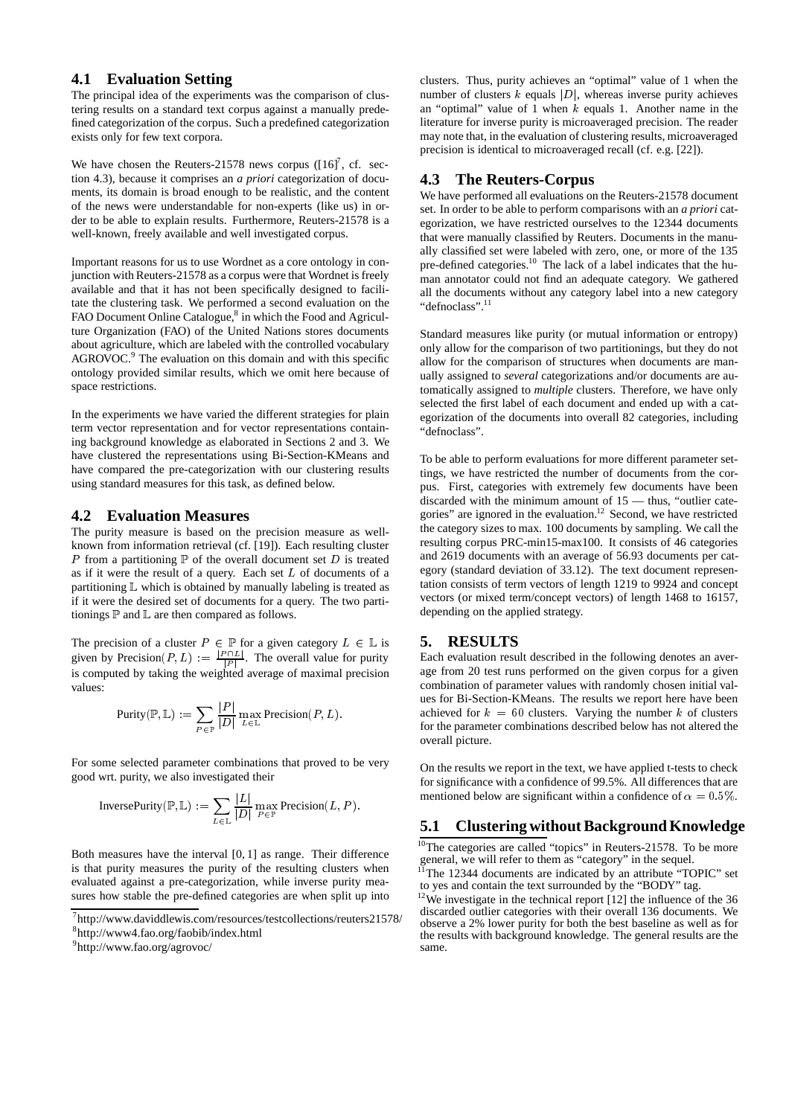# **4.1 Evaluation Setting**

The principal idea of the experiments was the comparison of clustering results on a standard text corpus against a manually predefined categorization of the corpus. Such a predefined categorization exists only for few text corpora.

We have chosen the Reuters-21578 news corpus  $([16]^7, cf.$  section 4.3), because it comprises an *a priori* categorization of documents, its domain is broad enough to be realistic, and the content of the news were understandable for non-experts (like us) in order to be able to explain results. Furthermore, Reuters-21578 is a well-known, freely available and well investigated corpus.

Important reasons for us to use Wordnet as a core ontology in conjunction with Reuters-21578 as a corpus were that Wordnet is freely available and that it has not been specifically designed to facilitate the clustering task. We performed a second evaluation on the FAO Document Online Catalogue,<sup>8</sup> in which the Food and Agriculture Organization (FAO) of the United Nations stores documents about agriculture, which are labeled with the controlled vocabulary AGROVOC.<sup>9</sup> The evaluation on this domain and with this specific ontology provided similar results, which we omit here because of space restrictions.

In the experiments we have varied the different strategies for plain term vector representation and for vector representations containing background knowledge as elaborated in Sections 2 and 3. We have clustered the representations using Bi-Section-KMeans and have compared the pre-categorization with our clustering results using standard measures for this task, as defined below.

#### **4.2 Evaluation Measures**

The purity measure is based on the precision measure as wellknown from information retrieval (cf. [19]). Each resulting cluster P from a partitioning  $\mathbb P$  of the overall document set D is treated as if it were the result of a query. Each set  $L$  of documents of a partitioning <sup>L</sup> which is obtained by manually labeling is treated as if it were the desired set of documents for a query. The two partitionings  $\mathbb P$  and  $\mathbb L$  are then compared as follows.

The precision of a cluster  $P \in \mathbb{P}$  for a given category  $L \in \mathbb{L}$  is  $\qquad 5$ given by Precision $(P, L) := \frac{|P \cap L|}{|P|}$ . The overall value for purity is computed by taking the weighted average of maximal precision values:

$$
\mathrm{Purity}(\mathbb{P}, \mathbb{L}) := \sum_{P \in \mathbb{P}} \frac{|P|}{|D|} \max_{L \in \mathbb{L}} \mathrm{Precision}(P, L).
$$

For some selected parameter combinations that proved to be very good wrt. purity, we also investigated their

$$
\text{InversePurity}(\mathbb{P}, \mathbb{L}) := \sum_{L \in \mathbb{L}} \frac{|L|}{|D|} \max_{P \in \mathbb{P}} \text{Precision}(L, P).
$$

Both measures have the interval [0, 1] as range. Their difference is that purity measures the purity of the resulting clusters when evaluated against a pre-categorization, while inverse purity measures how stable the pre-defined categories are when split up into

clusters. Thus, purity achieves an "optimal" value of 1 when the number of clusters  $k$  equals  $|D|$ , whereas inverse purity achieves an "optimal" value of  $1$  when  $k$  equals 1. Another name in the literature for inverse purity is microaveraged precision. The reader may note that, in the evaluation of clustering results, microaveraged precision is identical to microaveraged recall (cf. e.g. [22]).

# **4.3 The Reuters-Corpus**

We have performed all evaluations on the Reuters-21578 document set. In order to be able to perform comparisons with an *a priori* categorization, we have restricted ourselves to the 12344 documents that were manually classified by Reuters. Documents in the manually classified set were labeled with zero, one, or more of the 135 pre-defined categories.<sup>10</sup> The lack of a label indicates that the human annotator could not find an adequate category. We gathered all the documents without any category label into a new category "defnoclass".<sup>11</sup>

Standard measures like purity (or mutual information or entropy) only allow for the comparison of two partitionings, but they do not allow for the comparison of structures when documents are manually assigned to *several* categorizations and/or documents are automatically assigned to *multiple* clusters. Therefore, we have only selected the first label of each document and ended up with a categorization of the documents into overall 82 categories, including "defnoclass".

To be able to perform evaluations for more different parameter settings, we have restricted the number of documents from the corpus. First, categories with extremely few documents have been discarded with the minimum amount of 15 — thus, "outlier categories" are ignored in the evaluation.<sup>12</sup> Second, we have restricted the category sizes to max. 100 documents by sampling. We call the resulting corpus PRC-min15-max100. It consists of 46 categories and 2619 documents with an average of 56.93 documents per category (standard deviation of 33.12). The text document representation consists of term vectors of length 1219 to 9924 and concept vectors (or mixed term/concept vectors) of length 1468 to 16157, depending on the applied strategy.

#### **5. RESULTS**

Each evaluation result described in the following denotes an average from 20 test runs performed on the given corpus for a given combination of parameter values with randomly chosen initial values for Bi-Section-KMeans. The results we report here have been achieved for  $k = 60$  clusters. Varying the number k of clusters for the parameter combinations described below has not altered the overall picture.

On the results we report in the text, we have applied t-tests to check for significance with a confidence of 99.5%. All differences that are mentioned below are significant within a confidence of  $\alpha = 0.5\%$ .

# **5.1 Clustering without Background Knowledge**

<sup>10</sup>The categories are called "topics" in Reuters-21578. To be more general, we will refer to them as "category" in the sequel.

<sup>7</sup> http://www.daviddlewis.com/resources/testcollections/reuters21578/

<sup>8</sup> http://www4.fao.org/faobib/index.html

<sup>9</sup> http://www.fao.org/agrovoc/

 $11$ <sup>11</sup>The 12344 documents are indicated by an attribute "TOPIC" set to yes and contain the text surrounded by the "BODY" tag.

 $12$ <sup>12</sup>We investigate in the technical report [12] the influence of the 36 discarded outlier categories with their overall 136 documents. We observe a 2% lower purity for both the best baseline as well as for the results with background knowledge. The general results are the same.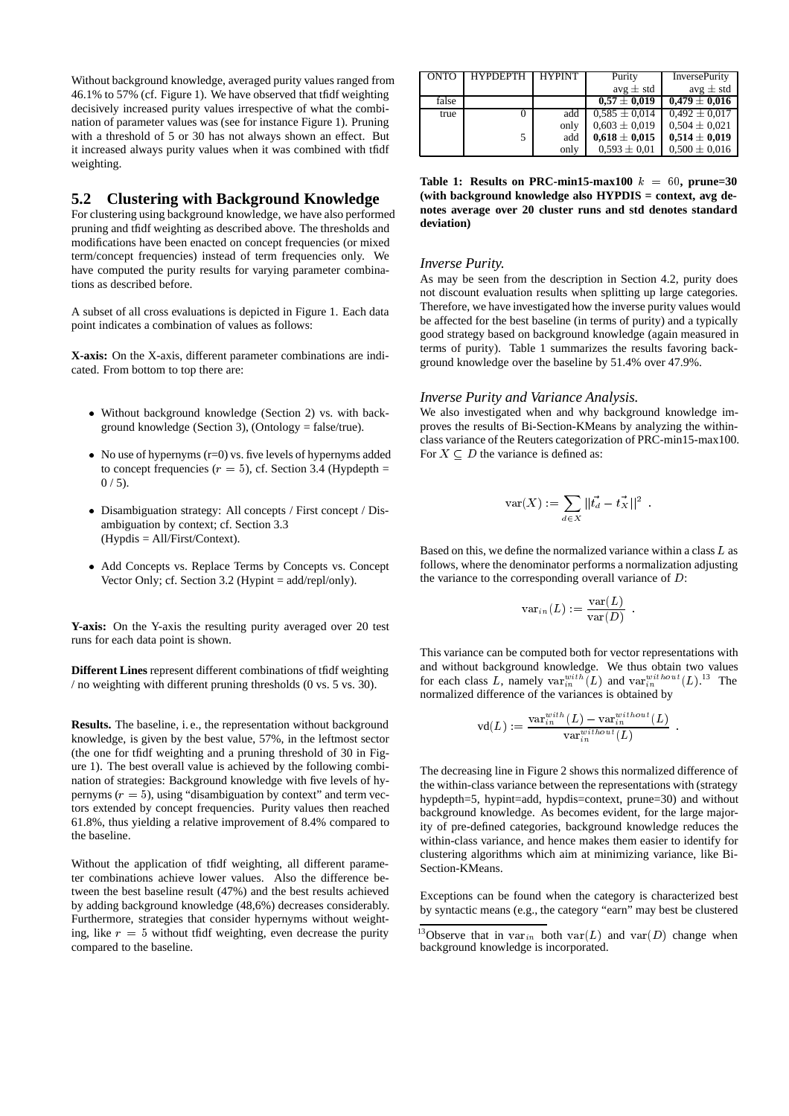Without background knowledge, averaged purity values ranged from 46.1% to 57% (cf. Figure 1). We have observed that tfidf weighting decisively increased purity values irrespective of what the combination of parameter values was (see for instance Figure 1). Pruning with a threshold of 5 or 30 has not always shown an effect. But it increased always purity values when it was combined with tfidf weighting.

# **5.2 Clustering with Background Knowledge**

For clustering using background knowledge, we have also performed pruning and tfidf weighting as described above. The thresholds and modifications have been enacted on concept frequencies (or mixed term/concept frequencies) instead of term frequencies only. We have computed the purity results for varying parameter combinations as described before.

A subset of all cross evaluations is depicted in Figure 1. Each data point indicates a combination of values as follows:

**X-axis:** On the X-axis, different parameter combinations are indicated. From bottom to top there are:

- Without background knowledge (Section 2) vs. with background knowledge (Section 3), (Ontology = false/true).
- No use of hypernyms (r=0) vs. five levels of hypernyms added to concept frequencies ( $r = 5$ ), cf. Section 3.4 (Hypdepth =  $0/5$ ).
- Disambiguation strategy: All concepts / First concept / Disambiguation by context; cf. Section 3.3 (Hypdis = All/First/Context).
- Add Concepts vs. Replace Terms by Concepts vs. Concept Vector Only; cf. Section 3.2 (Hypint = add/repl/only).

**Y-axis:** On the Y-axis the resulting purity averaged over 20 test runs for each data point is shown.

**Different Lines** represent different combinations of tfidf weighting / no weighting with different pruning thresholds (0 vs. 5 vs. 30).

**Results.** The baseline, i. e., the representation without background knowledge, is given by the best value, 57%, in the leftmost sector (the one for tfidf weighting and a pruning threshold of 30 in Figure 1). The best overall value is achieved by the following combination of strategies: Background knowledge with five levels of hypernyms  $(r = 5)$ , using "disambiguation by context" and term vectors extended by concept frequencies. Purity values then reached 61.8%, thus yielding a relative improvement of 8.4% compared to the baseline.

Without the application of tfidf weighting, all different parameter combinations achieve lower values. Also the difference between the best baseline result (47%) and the best results achieved by adding background knowledge (48,6%) decreases considerably. Furthermore, strategies that consider hypernyms without weighting, like  $r = 5$  without tfidf weighting, even decrease the purity compared to the baseline.

| <b>HYPDEPTH</b> | <b>HYPINT</b> | Purity            | <b>InversePurity</b> |
|-----------------|---------------|-------------------|----------------------|
|                 |               | avg $\pm$ std     | avg $\pm$ std        |
|                 |               | $0.57 \pm 0.019$  | $0,479 \pm 0,016$    |
|                 | add           | $0.585 \pm 0.014$ | $0.492 \pm 0.017$    |
|                 | only          | $0.603 \pm 0.019$ | $0.504 \pm 0.021$    |
|                 | add           | $0.618 \pm 0.015$ | $0.514 \pm 0.019$    |
|                 | only          | $0.593 \pm 0.01$  | $0.500 \pm 0.016$    |
|                 |               |                   |                      |

**Table 1: Results on PRC-min15-max100**  $k = 60$ , prune=30 **(with background knowledge also HYPDIS = context, avg denotes average over 20 cluster runs and std denotes standard deviation)**

#### *Inverse Purity.*

As may be seen from the description in Section 4.2, purity does not discount evaluation results when splitting up large categories. Therefore, we have investigated how the inverse purity values would be affected for the best baseline (in terms of purity) and a typically good strategy based on background knowledge (again measured in terms of purity). Table 1 summarizes the results favoring background knowledge over the baseline by 51.4% over 47.9%.

#### *Inverse Purity and Variance Analysis.*

We also investigated when and why background knowledge improves the results of Bi-Section-KMeans by analyzing the withinclass variance of the Reuters categorization of PRC-min15-max100. For  $X \subseteq D$  the variance is defined as:

$$
\text{var}(X) := \sum_{d \in X} ||\vec{t_d} - \vec{t_X}||^2.
$$

Based on this, we define the normalized variance within a class  $L$  as follows, where the denominator performs a normalization adjusting the variance to the corresponding overall variance of <sup>D</sup>:

$$
\text{var}_{in}(L) := \frac{\text{var}(L)}{\text{var}(D)}\enspace.
$$

:

This variance can be computed both for vector representations with and without background knowledge. We thus obtain two values for each class L, namely  $var_{in}^{with}(L)$  and  $var_{in}^{without}(L)$ .<sup>13</sup> The normalized difference of the variances is obtained by

$$
\text{vd}(L):=\frac{\text{var}^{with}_{in}(L)-\text{var}^{without}_{in}(L)}{\text{var}^{without}_{in}(L)}\enspace.
$$

The decreasing line in Figure 2 shows this normalized difference of the within-class variance between the representations with (strategy hypdepth=5, hypint=add, hypdis=context, prune=30) and without background knowledge. As becomes evident, for the large majority of pre-defined categories, background knowledge reduces the within-class variance, and hence makes them easier to identify for clustering algorithms which aim at minimizing variance, like Bi-Section-KMeans.

Exceptions can be found when the category is characterized best by syntactic means (e.g., the category "earn" may best be clustered

<sup>&</sup>lt;sup>13</sup>Observe that in var<sub>in</sub> both var $(L)$  and var $(D)$  change when background knowledge is incorporated.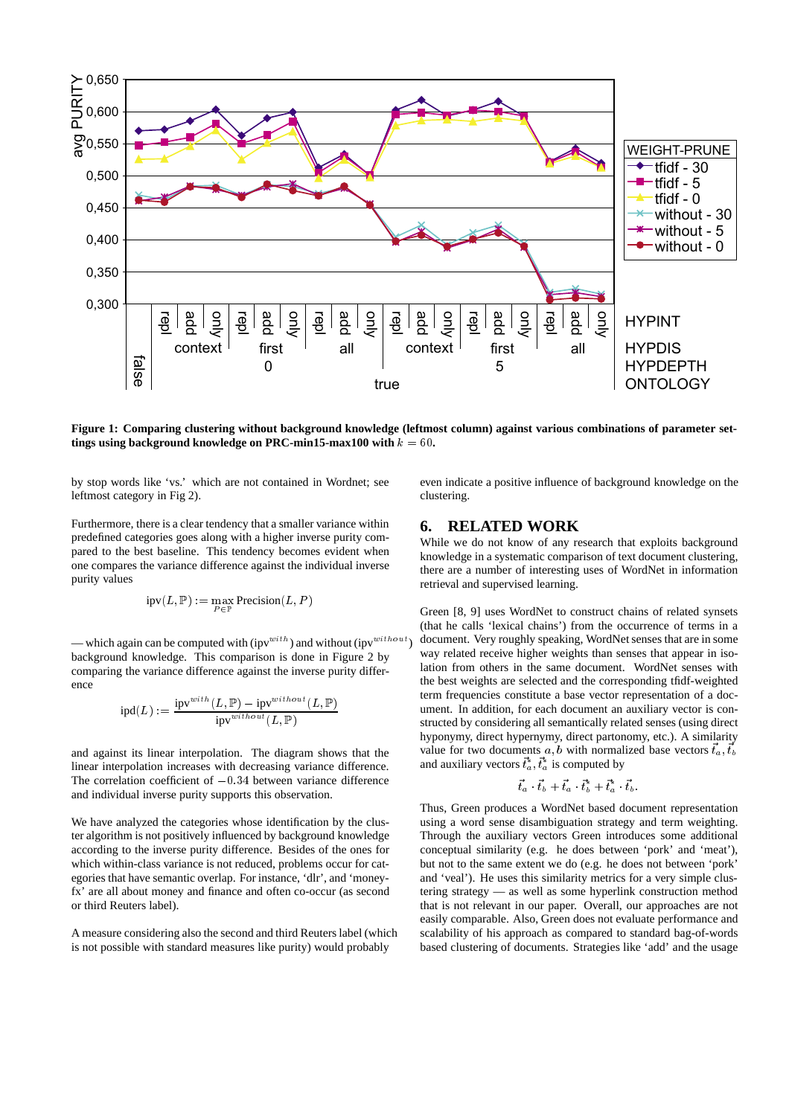

**Figure 1: Comparing clustering without background knowledge (leftmost column) against various combinations of parameter settings using background knowledge on PRC-min15-max100 with**  $k = 60$ .

by stop words like 'vs.' which are not contained in Wordnet; see leftmost category in Fig 2).

Furthermore, there is a clear tendency that a smaller variance within predefined categories goes along with a higher inverse purity compared to the best baseline. This tendency becomes evident when one compares the variance difference against the individual inverse purity values

$$
\operatorname{ipv}(L, \mathbb{P}) := \max_{P \in \mathbb{P}} \operatorname{Precision}(L,P)
$$

— which again can be computed with (ipv<sup>with</sup>) and without (ipv<sup>without</sup>) background knowledge. This comparison is done in Figure 2 by comparing the variance difference against the inverse purity difference

$$
\operatorname{ipd}(L) := \frac{\operatorname{ipv}^{with}(L,\mathbb{P}) - \operatorname{ipv}^{without}(L,\mathbb{P})}{\operatorname{ipv}^{without}(L,\mathbb{P})}
$$

and against its linear interpolation. The diagram shows that the linear interpolation increases with decreasing variance difference. The correlation coefficient of  $-0.34$  between variance difference and individual inverse purity supports this observation.

We have analyzed the categories whose identification by the cluster algorithm is not positively influenced by background knowledge according to the inverse purity difference. Besides of the ones for which within-class variance is not reduced, problems occur for categories that have semantic overlap. For instance, 'dlr', and 'moneyfx' are all about money and finance and often co-occur (as second or third Reuters label).

A measure considering also the second and third Reuters label (which is not possible with standard measures like purity) would probably

even indicate a positive influence of background knowledge on the clustering.

# **6. RELATED WORK**

While we do not know of any research that exploits background knowledge in a systematic comparison of text document clustering, there are a number of interesting uses of WordNet in information retrieval and supervised learning.

Green [8, 9] uses WordNet to construct chains of related synsets (that he calls 'lexical chains') from the occurrence of terms in a document. Very roughly speaking, WordNet senses that are in some way related receive higher weights than senses that appear in isolation from others in the same document. WordNet senses with the best weights are selected and the corresponding tfidf-weighted term frequencies constitute a base vector representation of a document. In addition, for each document an auxiliary vector is constructed by considering all semantically related senses (using direct hyponymy, direct hypernymy, direct partonomy, etc.). A similarity value for two documents  $a, b$  with normalized base vectors  $\vec{t}_a, \vec{t}_b$ and auxiliary vectors  $\vec{t}_a^*, \vec{t}_a^*$  is computed by

$$
\vec{t}_a\cdot\vec{t}_b+\vec{t}_a\cdot\vec{t}_b^*+\vec{t}_a^*\cdot\vec{t}_b.
$$

Thus, Green produces a WordNet based document representation using a word sense disambiguation strategy and term weighting. Through the auxiliary vectors Green introduces some additional conceptual similarity (e.g. he does between 'pork' and 'meat'), but not to the same extent we do (e.g. he does not between 'pork' and 'veal'). He uses this similarity metrics for a very simple clustering strategy — as well as some hyperlink construction method that is not relevant in our paper. Overall, our approaches are not easily comparable. Also, Green does not evaluate performance and scalability of his approach as compared to standard bag-of-words based clustering of documents. Strategies like 'add' and the usage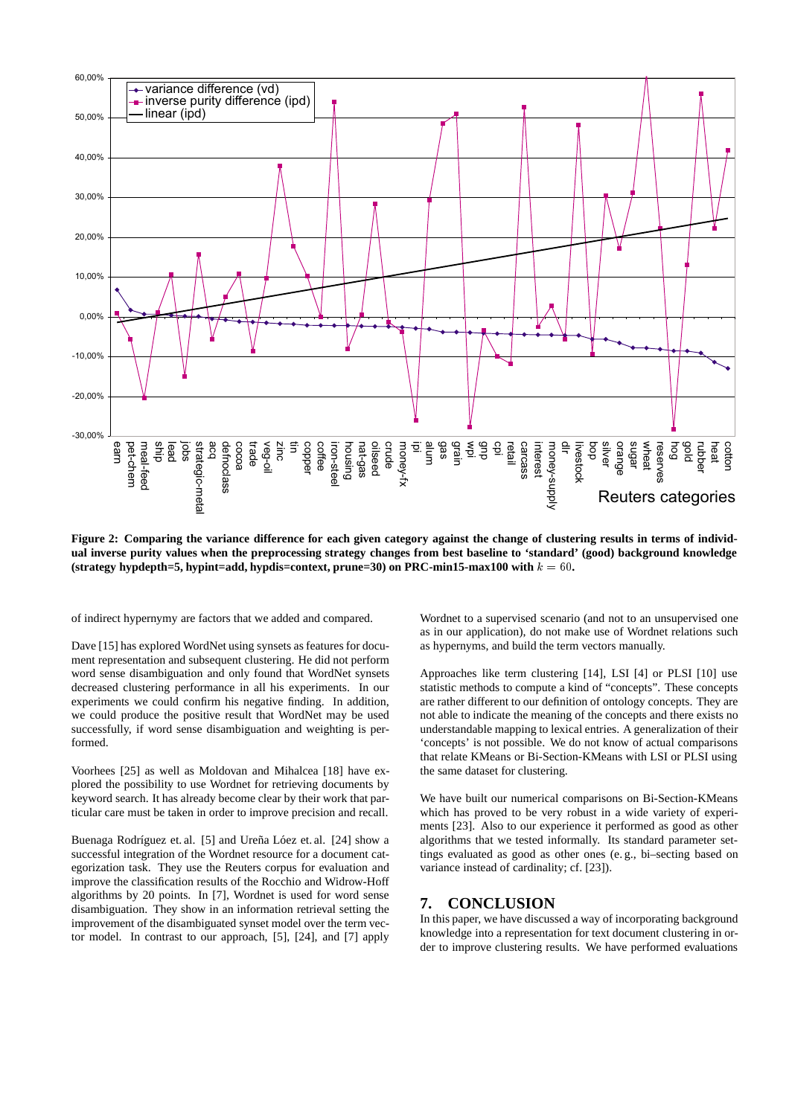

**Figure 2: Comparing the variance difference for each given category against the change of clustering results in terms of individual inverse purity values when the preprocessing strategy changes from best baseline to 'standard' (good) background knowledge** (strategy hypdepth=5, hypint=add, hypdis=context, prune=30) on PRC-min15-max100 with  $k = 60$ .

of indirect hypernymy are factors that we added and compared.

Dave [15] has explored WordNet using synsets as features for document representation and subsequent clustering. He did not perform word sense disambiguation and only found that WordNet synsets decreased clustering performance in all his experiments. In our experiments we could confirm his negative finding. In addition, we could produce the positive result that WordNet may be used successfully, if word sense disambiguation and weighting is performed.

Voorhees [25] as well as Moldovan and Mihalcea [18] have explored the possibility to use Wordnet for retrieving documents by keyword search. It has already become clear by their work that particular care must be taken in order to improve precision and recall.

Buenaga Rodríguez et. al. [5] and Ureña Lóez et. al. [24] show a successful integration of the Wordnet resource for a document categorization task. They use the Reuters corpus for evaluation and improve the classification results of the Rocchio and Widrow-Hoff algorithms by 20 points. In [7], Wordnet is used for word sense disambiguation. They show in an information retrieval setting the improvement of the disambiguated synset model over the term vector model. In contrast to our approach, [5], [24], and [7] apply

Wordnet to a supervised scenario (and not to an unsupervised one as in our application), do not make use of Wordnet relations such as hypernyms, and build the term vectors manually.

Approaches like term clustering [14], LSI [4] or PLSI [10] use statistic methods to compute a kind of "concepts". These concepts are rather different to our definition of ontology concepts. They are not able to indicate the meaning of the concepts and there exists no understandable mapping to lexical entries. A generalization of their 'concepts' is not possible. We do not know of actual comparisons that relate KMeans or Bi-Section-KMeans with LSI or PLSI using the same dataset for clustering.

We have built our numerical comparisons on Bi-Section-KMeans which has proved to be very robust in a wide variety of experiments [23]. Also to our experience it performed as good as other algorithms that we tested informally. Its standard parameter settings evaluated as good as other ones (e. g., bi–secting based on variance instead of cardinality; cf. [23]).

# **7. CONCLUSION**

In this paper, we have discussed a way of incorporating background knowledge into a representation for text document clustering in order to improve clustering results. We have performed evaluations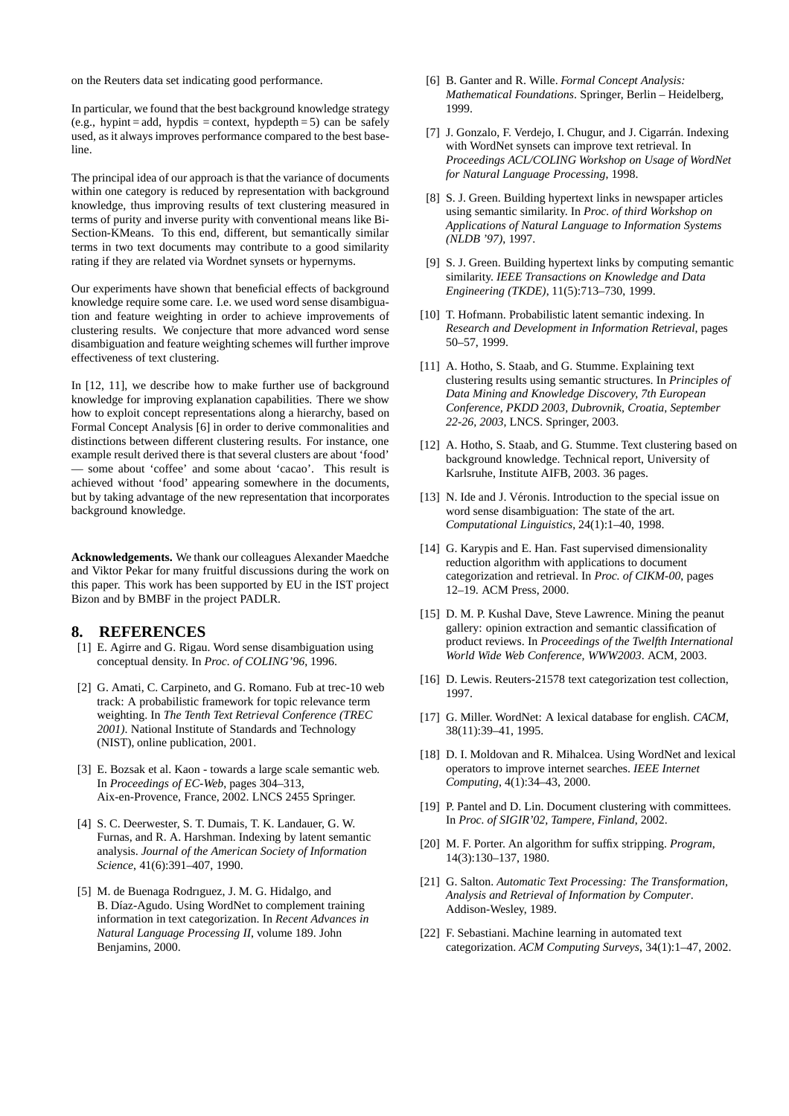on the Reuters data set indicating good performance.

In particular, we found that the best background knowledge strategy (e.g., hypint = add, hypdis = context, hypdepth = 5) can be safely used, as it always improves performance compared to the best baseline.

The principal idea of our approach is that the variance of documents within one category is reduced by representation with background knowledge, thus improving results of text clustering measured in terms of purity and inverse purity with conventional means like Bi-Section-KMeans. To this end, different, but semantically similar terms in two text documents may contribute to a good similarity rating if they are related via Wordnet synsets or hypernyms.

Our experiments have shown that beneficial effects of background knowledge require some care. I.e. we used word sense disambiguation and feature weighting in order to achieve improvements of clustering results. We conjecture that more advanced word sense disambiguation and feature weighting schemes will further improve effectiveness of text clustering.

In [12, 11], we describe how to make further use of background knowledge for improving explanation capabilities. There we show how to exploit concept representations along a hierarchy, based on Formal Concept Analysis [6] in order to derive commonalities and distinctions between different clustering results. For instance, one example result derived there is that several clusters are about 'food' — some about 'coffee' and some about 'cacao'. This result is achieved without 'food' appearing somewhere in the documents, but by taking advantage of the new representation that incorporates background knowledge.

**Acknowledgements.** We thank our colleagues Alexander Maedche and Viktor Pekar for many fruitful discussions during the work on this paper. This work has been supported by EU in the IST project Bizon and by BMBF in the project PADLR.

## **8. REFERENCES**

- [1] E. Agirre and G. Rigau. Word sense disambiguation using conceptual density. In *Proc. of COLING'96*, 1996.
- [2] G. Amati, C. Carpineto, and G. Romano. Fub at trec-10 web track: A probabilistic framework for topic relevance term weighting. In *The Tenth Text Retrieval Conference (TREC 2001)*. National Institute of Standards and Technology (NIST), online publication, 2001.
- [3] E. Bozsak et al. Kaon towards a large scale semantic web. In *Proceedings of EC-Web*, pages 304–313, Aix-en-Provence, France, 2002. LNCS 2455 Springer.
- [4] S. C. Deerwester, S. T. Dumais, T. K. Landauer, G. W. Furnas, and R. A. Harshman. Indexing by latent semantic analysis. *Journal of the American Society of Information Science*, 41(6):391–407, 1990.
- [5] M. de Buenaga Rodrıguez, J. M. G. Hidalgo, and B. Díaz-Agudo. Using WordNet to complement training information in text categorization. In *Recent Advances in Natural Language Processing II*, volume 189. John Benjamins, 2000.
- [6] B. Ganter and R. Wille. *Formal Concept Analysis: Mathematical Foundations*. Springer, Berlin – Heidelberg, 1999.
- [7] J. Gonzalo, F. Verdejo, I. Chugur, and J. Cigarrán. Indexing with WordNet synsets can improve text retrieval. In *Proceedings ACL/COLING Workshop on Usage of WordNet for Natural Language Processing*, 1998.
- [8] S. J. Green. Building hypertext links in newspaper articles using semantic similarity. In *Proc. of third Workshop on Applications of Natural Language to Information Systems (NLDB '97)*, 1997.
- [9] S. J. Green. Building hypertext links by computing semantic similarity. *IEEE Transactions on Knowledge and Data Engineering (TKDE)*, 11(5):713–730, 1999.
- [10] T. Hofmann. Probabilistic latent semantic indexing. In *Research and Development in Information Retrieval*, pages 50–57, 1999.
- [11] A. Hotho, S. Staab, and G. Stumme. Explaining text clustering results using semantic structures. In *Principles of Data Mining and Knowledge Discovery, 7th European Conference, PKDD 2003, Dubrovnik, Croatia, September 22-26, 2003*, LNCS. Springer, 2003.
- [12] A. Hotho, S. Staab, and G. Stumme. Text clustering based on background knowledge. Technical report, University of Karlsruhe, Institute AIFB, 2003. 36 pages.
- [13] N. Ide and J. Véronis. Introduction to the special issue on word sense disambiguation: The state of the art. *Computational Linguistics*, 24(1):1–40, 1998.
- [14] G. Karypis and E. Han. Fast supervised dimensionality reduction algorithm with applications to document categorization and retrieval. In *Proc. of CIKM-00*, pages 12–19. ACM Press, 2000.
- [15] D. M. P. Kushal Dave, Steve Lawrence. Mining the peanut gallery: opinion extraction and semantic classification of product reviews. In *Proceedings of the Twelfth International World Wide Web Conference, WWW2003*. ACM, 2003.
- [16] D. Lewis. Reuters-21578 text categorization test collection, 1997.
- [17] G. Miller. WordNet: A lexical database for english. *CACM*, 38(11):39–41, 1995.
- [18] D. I. Moldovan and R. Mihalcea. Using WordNet and lexical operators to improve internet searches. *IEEE Internet Computing*, 4(1):34–43, 2000.
- [19] P. Pantel and D. Lin. Document clustering with committees. In *Proc. of SIGIR'02, Tampere, Finland*, 2002.
- [20] M. F. Porter. An algorithm for suffix stripping. *Program*, 14(3):130–137, 1980.
- [21] G. Salton. *Automatic Text Processing: The Transformation, Analysis and Retrieval of Information by Computer*. Addison-Wesley, 1989.
- [22] F. Sebastiani. Machine learning in automated text categorization. *ACM Computing Surveys*, 34(1):1–47, 2002.